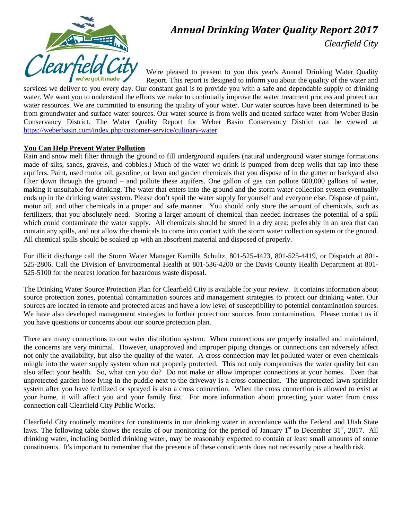

# *Annual Drinking Water Quality Report 2017 Clearfield City*

We're pleased to present to you this year's Annual Drinking Water Quality Report. This report is designed to inform you about the quality of the water and

services we deliver to you every day. Our constant goal is to provide you with a safe and dependable supply of drinking water. We want you to understand the efforts we make to continually improve the water treatment process and protect our water resources. We are committed to ensuring the quality of your water. Our water sources have been determined to be from groundwater and surface water sources. Our water source is from wells and treated surface water from Weber Basin Conservancy District. The Water Quality Report for Weber Basin Conservancy District can be viewed at [https://weberbasin.com/index.php/customer-service/culinary-water.](https://weberbasin.com/index.php/customer-service/culinary-water)

#### **You Can Help Prevent Water Pollution**

Rain and snow melt filter through the ground to fill underground aquifers (natural underground water storage formations made of silts, sands, gravels, and cobbles.) Much of the water we drink is pumped from deep wells that tap into these aquifers. Paint, used motor oil, gasoline, or lawn and garden chemicals that you dispose of in the gutter or backyard also filter down through the ground – and pollute these aquifers. One gallon of gas can pollute 600,000 gallons of water, making it unsuitable for drinking. The water that enters into the ground and the storm water collection system eventually ends up in the drinking water system. Please don't spoil the water supply for yourself and everyone else. Dispose of paint, motor oil, and other chemicals in a proper and safe manner. You should only store the amount of chemicals, such as fertilizers, that you absolutely need. Storing a larger amount of chemical than needed increases the potential of a spill which could contaminate the water supply. All chemicals should be stored in a dry area; preferably in an area that can contain any spills, and not allow the chemicals to come into contact with the storm water collection system or the ground. All chemical spills should be soaked up with an absorbent material and disposed of properly.

For illicit discharge call the Storm Water Manager Kamilla Schultz, 801-525-4423, 801-525-4419, or Dispatch at 801- 525-2806. Call the Division of Environmental Health at 801-536-4200 or the Davis County Health Department at 801- 525-5100 for the nearest location for hazardous waste disposal.

The Drinking Water Source Protection Plan for Clearfield City is available for your review. It contains information about source protection zones, potential contamination sources and management strategies to protect our drinking water. Our sources are located in remote and protected areas and have a low level of susceptibility to potential contamination sources. We have also developed management strategies to further protect our sources from contamination. Please contact us if you have questions or concerns about our source protection plan.

There are many connections to our water distribution system. When connections are properly installed and maintained, the concerns are very minimal. However, unapproved and improper piping changes or connections can adversely affect not only the availability, but also the quality of the water. A cross connection may let polluted water or even chemicals mingle into the water supply system when not properly protected. This not only compromises the water quality but can also affect your health. So, what can you do? Do not make or allow improper connections at your homes. Even that unprotected garden hose lying in the puddle next to the driveway is a cross connection. The unprotected lawn sprinkler system after you have fertilized or sprayed is also a cross connection. When the cross connection is allowed to exist at your home, it will affect you and your family first. For more information about protecting your water from cross connection call Clearfield City Public Works.

Clearfield City routinely monitors for constituents in our drinking water in accordance with the Federal and Utah State laws. The following table shows the results of our monitoring for the period of January  $1<sup>st</sup>$  to December 31 $<sup>st</sup>$ , 2017. All</sup> drinking water, including bottled drinking water, may be reasonably expected to contain at least small amounts of some constituents. It's important to remember that the presence of these constituents does not necessarily pose a health risk.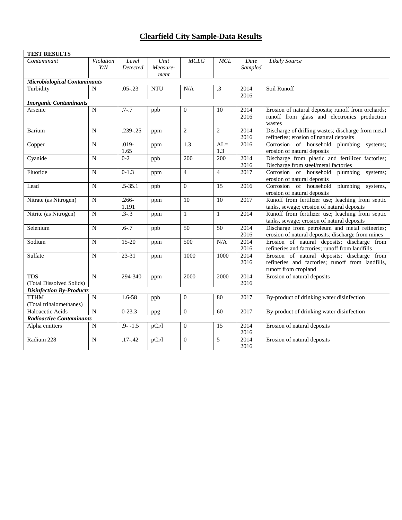## **Clearfield City Sample-Data Results**

| <b>TEST RESULTS</b>                 |                  |                   |                  |                  |                  |                 |                                                                                                |
|-------------------------------------|------------------|-------------------|------------------|------------------|------------------|-----------------|------------------------------------------------------------------------------------------------|
| Contaminant                         | Violation<br>Y/N | Level<br>Detected | Unit<br>Measure- | MCLG             | MCL              | Date<br>Sampled | <b>Likely Source</b>                                                                           |
|                                     |                  |                   | ment             |                  |                  |                 |                                                                                                |
| <b>Microbiological Contaminants</b> |                  |                   |                  |                  |                  |                 |                                                                                                |
| Turbidity                           | N                | $.05 - .23$       | <b>NTU</b>       | N/A              | .3               | 2014            | Soil Runoff                                                                                    |
|                                     |                  |                   |                  |                  |                  | 2016            |                                                                                                |
| <b>Inorganic Contaminants</b>       |                  |                   |                  |                  |                  |                 |                                                                                                |
| Arsenic                             | $\mathbf N$      | $.7 - .7$         | ppb              | $\Omega$         | 10               | 2014            | Erosion of natural deposits; runoff from orchards;                                             |
|                                     |                  |                   |                  |                  |                  | 2016            | runoff from glass and electronics production                                                   |
|                                     |                  |                   |                  |                  |                  |                 | wastes                                                                                         |
| Barium                              | N                | $.239 - .25$      | ppm              | 2                | $\overline{2}$   | 2014            | Discharge of drilling wastes; discharge from metal                                             |
|                                     |                  |                   |                  |                  |                  | 2016            | refineries; erosion of natural deposits                                                        |
| Copper                              | N                | $.019 -$          | ppm              | 1.3              | $AL=$            | 2016            | Corrosion of household plumbing systems;                                                       |
|                                     |                  | 1.65              |                  |                  | 1.3              |                 | erosion of natural deposits                                                                    |
| Cyanide                             | $\overline{N}$   | $0 - 2$           | ppb              | $\overline{200}$ | $\overline{200}$ | 2014            | Discharge from plastic and fertilizer factories;                                               |
|                                     |                  |                   |                  |                  |                  | 2016            | Discharge from steel/metal factories                                                           |
| Fluoride                            | $\mathbf N$      | $0-1.3$           | ppm              | $\overline{4}$   | $\overline{4}$   | 2017            | Corrosion of household plumbing systems;                                                       |
|                                     |                  |                   |                  |                  |                  |                 | erosion of natural deposits                                                                    |
| Lead                                | N                | $.5 - 35.1$       | ppb              | $\Omega$         | 15               | 2016            | plumbing<br>Corrosion of household<br>systems,                                                 |
|                                     |                  |                   |                  |                  |                  |                 | erosion of natural deposits                                                                    |
| Nitrate (as Nitrogen)               | $\mathbf N$      | $.266 -$          | ppm              | 10               | $\overline{10}$  | 2017            | Runoff from fertilizer use; leaching from septic                                               |
|                                     |                  | 1.191             |                  |                  |                  |                 | tanks, sewage; erosion of natural deposits                                                     |
| Nitrite (as Nitrogen)               | $\overline{N}$   | $.3 - .3$         | ppm              | 1                | $\mathbf{1}$     | 2014            | Runoff from fertilizer use; leaching from septic                                               |
|                                     |                  |                   |                  |                  |                  |                 | tanks, sewage; erosion of natural deposits                                                     |
| Selenium                            | $\mathbf N$      | $.6 - .7$         | ppb              | $\overline{50}$  | 50               | 2014            | Discharge from petroleum and metal refineries;                                                 |
| Sodium                              | N                | $15-20$           |                  | 500              |                  | 2016<br>2014    | erosion of natural deposits; discharge from mines                                              |
|                                     |                  |                   | ppm              |                  | N/A              | 2016            | Erosion of natural deposits; discharge from<br>refineries and factories; runoff from landfills |
| Sulfate                             | N                | $23 - 31$         |                  | 1000             | 1000             | 2014            | Erosion of natural deposits; discharge from                                                    |
|                                     |                  |                   | ppm              |                  |                  | 2016            | refineries and factories; runoff from landfills,                                               |
|                                     |                  |                   |                  |                  |                  |                 | runoff from cropland                                                                           |
| <b>TDS</b>                          | N                | 294-340           |                  | 2000             | 2000             | 2014            | Erosion of natural deposits                                                                    |
| (Total Dissolved Solids)            |                  |                   | ppm              |                  |                  | 2016            |                                                                                                |
| <b>Disinfection By-Products</b>     |                  |                   |                  |                  |                  |                 |                                                                                                |
| <b>TTHM</b>                         | $\overline{N}$   | $1.6 - 58$        | ppb              | $\overline{0}$   | 80               | 2017            | By-product of drinking water disinfection                                                      |
| (Total trihalomethanes)             |                  |                   |                  |                  |                  |                 |                                                                                                |
| Haloacetic Acids                    | $\mathbf N$      | $0 - 23.3$        | ppg              | $\mathbf{0}$     | 60               | 2017            | By-product of drinking water disinfection                                                      |
| Radioactive Contaminants            |                  |                   |                  |                  |                  |                 |                                                                                                |
| Alpha emitters                      | N                | $.9 - 1.5$        | pCi/l            | $\overline{0}$   | 15               | 2014            | Erosion of natural deposits                                                                    |
|                                     |                  |                   |                  |                  |                  | 2016            |                                                                                                |
| Radium 228                          | $\mathbf N$      | $.17 - .42$       | pCi/1            | $\Omega$         | 5                | 2014            | Erosion of natural deposits                                                                    |
|                                     |                  |                   |                  |                  |                  | 2016            |                                                                                                |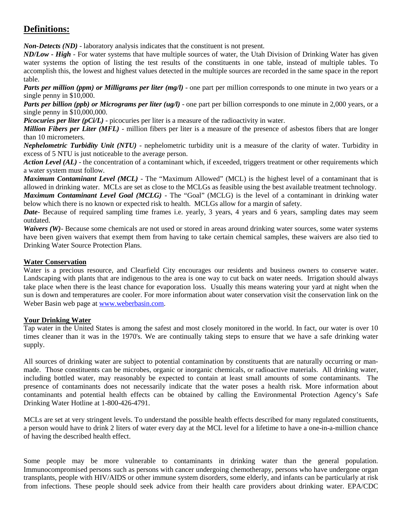# **Definitions:**

*Non-Detects (ND)* - laboratory analysis indicates that the constituent is not present.

*ND/Low - High -* For water systems that have multiple sources of water, the Utah Division of Drinking Water has given water systems the option of listing the test results of the constituents in one table, instead of multiple tables. To accomplish this, the lowest and highest values detected in the multiple sources are recorded in the same space in the report table.

*Parts per million (ppm) or Milligrams per liter (mg/l)* - one part per million corresponds to one minute in two years or a single penny in \$10,000.

*Parts per billion (ppb) or Micrograms per liter (ug/l)* - one part per billion corresponds to one minute in 2,000 years, or a single penny in \$10,000,000.

*Picocuries per liter (pCi/L)* - picocuries per liter is a measure of the radioactivity in water.

*Million Fibers per Liter (MFL)* - million fibers per liter is a measure of the presence of asbestos fibers that are longer than 10 micrometers.

*Nephelometric Turbidity Unit (NTU)* - nephelometric turbidity unit is a measure of the clarity of water. Turbidity in excess of 5 NTU is just noticeable to the average person.

*Action Level (AL)* - the concentration of a contaminant which, if exceeded, triggers treatment or other requirements which a water system must follow.

*Maximum Contaminant Level (MCL)* - The "Maximum Allowed" (MCL) is the highest level of a contaminant that is allowed in drinking water. MCLs are set as close to the MCLGs as feasible using the best available treatment technology.

*Maximum Contaminant Level Goal (MCLG)* - The "Goal" (MCLG) is the level of a contaminant in drinking water below which there is no known or expected risk to health. MCLGs allow for a margin of safety.

*Date*- Because of required sampling time frames i.e. yearly, 3 years, 4 years and 6 years, sampling dates may seem outdated.

*Waivers (W)*- Because some chemicals are not used or stored in areas around drinking water sources, some water systems have been given waivers that exempt them from having to take certain chemical samples, these waivers are also tied to Drinking Water Source Protection Plans.

### **Water Conservation**

Water is a precious resource, and Clearfield City encourages our residents and business owners to conserve water. Landscaping with plants that are indigenous to the area is one way to cut back on water needs. Irrigation should always take place when there is the least chance for evaporation loss. Usually this means watering your yard at night when the sun is down and temperatures are cooler. For more information about water conservation visit the conservation link on the Weber Basin web page at [www.weberbasin.com.](http://www.weberbasin.com/)

### **Your Drinking Water**

Tap water in the United States is among the safest and most closely monitored in the world. In fact, our water is over 10 times cleaner than it was in the 1970's. We are continually taking steps to ensure that we have a safe drinking water supply.

All sources of drinking water are subject to potential contamination by constituents that are naturally occurring or manmade. Those constituents can be microbes, organic or inorganic chemicals, or radioactive materials. All drinking water, including bottled water, may reasonably be expected to contain at least small amounts of some contaminants. The presence of contaminants does not necessarily indicate that the water poses a health risk. More information about contaminants and potential health effects can be obtained by calling the Environmental Protection Agency's Safe Drinking Water Hotline at 1-800-426-4791.

MCLs are set at very stringent levels. To understand the possible health effects described for many regulated constituents, a person would have to drink 2 liters of water every day at the MCL level for a lifetime to have a one-in-a-million chance of having the described health effect.

Some people may be more vulnerable to contaminants in drinking water than the general population. Immunocompromised persons such as persons with cancer undergoing chemotherapy, persons who have undergone organ transplants, people with HIV/AIDS or other immune system disorders, some elderly, and infants can be particularly at risk from infections. These people should seek advice from their health care providers about drinking water. EPA/CDC